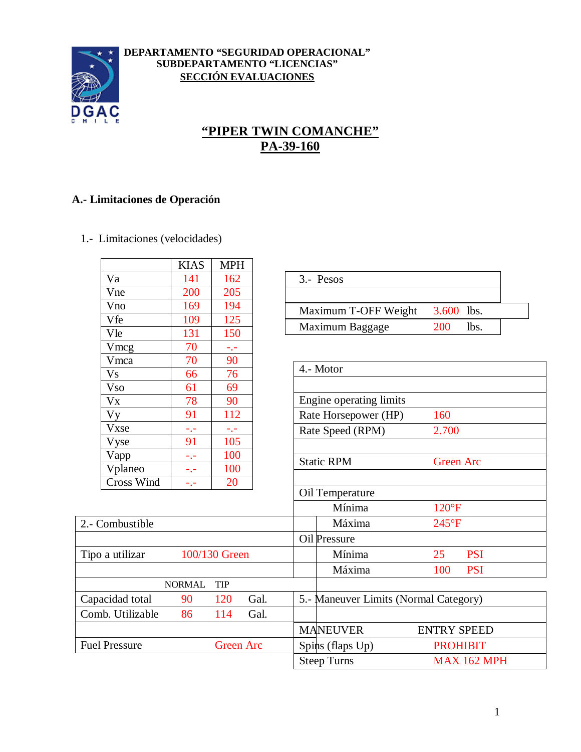

#### **DEPARTAMENTO "SEGURIDAD OPERACIONAL" SUBDEPARTAMENTO "LICENCIAS" SECCIÓN EVALUACIONES**

# **"PIPER TWIN COMANCHE" PA-39-160**

#### **A.- Limitaciones de Operación**

1.- Limitaciones (velocidades)

Fuel Pressure Green Arc

| 3.600 lbs.                                |
|-------------------------------------------|
|                                           |
|                                           |
|                                           |
|                                           |
| lbs.                                      |
|                                           |
|                                           |
|                                           |
|                                           |
|                                           |
|                                           |
|                                           |
|                                           |
|                                           |
| <b>Green Arc</b>                          |
|                                           |
|                                           |
|                                           |
|                                           |
|                                           |
|                                           |
| <b>PSI</b>                                |
| <b>PSI</b>                                |
|                                           |
| 5.- Maneuver Limits (Normal Category)     |
|                                           |
| 2.700<br>$120^{\circ}F$<br>$245^{\circ}F$ |

PSI PSI

MANEUVER ENTRY SPEED Spins (flaps Up) PROHIBIT Steep Turns MAX 162 MPH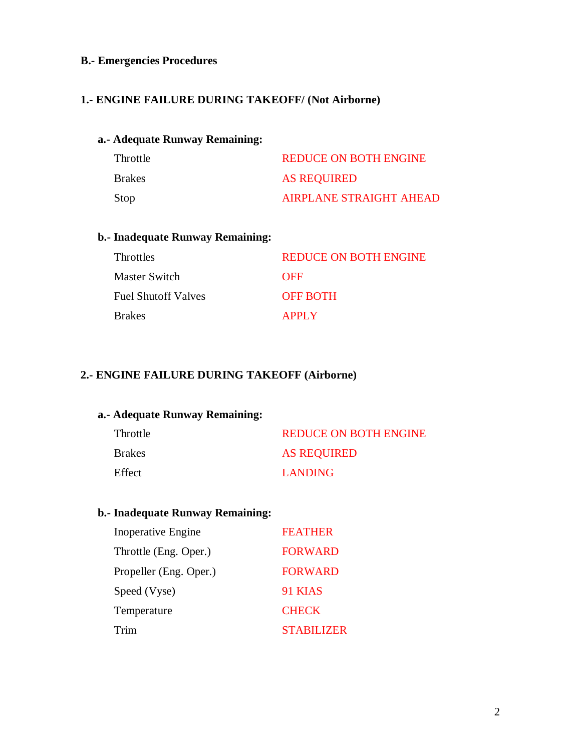#### **B.- Emergencies Procedures**

#### **1.- ENGINE FAILURE DURING TAKEOFF/ (Not Airborne)**

#### **a.- Adequate Runway Remaining:**

| Throttle      | <b>REDUCE ON BOTH ENGINE</b>   |
|---------------|--------------------------------|
| <b>Brakes</b> | <b>AS REQUIRED</b>             |
| Stop          | <b>AIRPLANE STRAIGHT AHEAD</b> |

#### **b.- Inadequate Runway Remaining:**

| Throttles           | <b>REDUCE ON BOTH ENGINE</b> |
|---------------------|------------------------------|
| Master Switch       | <b>OFF</b>                   |
| Fuel Shutoff Valves | <b>OFF BOTH</b>              |
| Brakes              | <b>APPLY</b>                 |

### **2.- ENGINE FAILURE DURING TAKEOFF (Airborne)**

#### **a.- Adequate Runway Remaining:**

| Throttle      | <b>REDUCE ON BOTH ENGINE</b> |
|---------------|------------------------------|
| <b>Brakes</b> | <b>AS REQUIRED</b>           |
| Effect        | <b>LANDING</b>               |

### **b.- Inadequate Runway Remaining:**

| <b>Inoperative Engine</b> | <b>FEATHER</b>    |
|---------------------------|-------------------|
| Throttle (Eng. Oper.)     | <b>FORWARD</b>    |
| Propeller (Eng. Oper.)    | <b>FORWARD</b>    |
| Speed (Vyse)              | 91 KIAS           |
| Temperature               | <b>CHECK</b>      |
| Trim                      | <b>STABILIZER</b> |